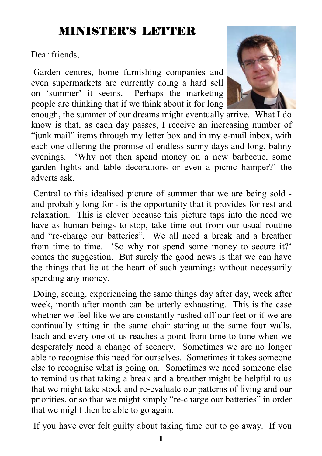# MINISTER'S LETTER

Dear friends,

 Garden centres, home furnishing companies and even supermarkets are currently doing a hard sell on 'summer' it seems. Perhaps the marketing people are thinking that if we think about it for long



enough, the summer of our dreams might eventually arrive. What I do know is that, as each day passes, I receive an increasing number of "junk mail" items through my letter box and in my e-mail inbox, with each one offering the promise of endless sunny days and long, balmy evenings. 'Why not then spend money on a new barbecue, some garden lights and table decorations or even a picnic hamper?' the adverts ask.

 Central to this idealised picture of summer that we are being sold and probably long for - is the opportunity that it provides for rest and relaxation. This is clever because this picture taps into the need we have as human beings to stop, take time out from our usual routine and "re-charge our batteries". We all need a break and a breather from time to time. 'So why not spend some money to secure it?' comes the suggestion. But surely the good news is that we can have the things that lie at the heart of such yearnings without necessarily spending any money.

 Doing, seeing, experiencing the same things day after day, week after week, month after month can be utterly exhausting. This is the case whether we feel like we are constantly rushed off our feet or if we are continually sitting in the same chair staring at the same four walls. Each and every one of us reaches a point from time to time when we desperately need a change of scenery. Sometimes we are no longer able to recognise this need for ourselves. Sometimes it takes someone else to recognise what is going on. Sometimes we need someone else to remind us that taking a break and a breather might be helpful to us that we might take stock and re-evaluate our patterns of living and our priorities, or so that we might simply "re-charge our batteries" in order that we might then be able to go again.

If you have ever felt guilty about taking time out to go away. If you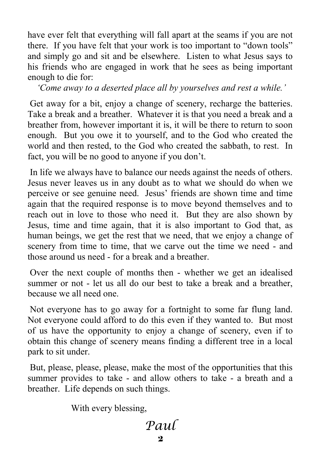have ever felt that everything will fall apart at the seams if you are not there. If you have felt that your work is too important to "down tools" and simply go and sit and be elsewhere. Listen to what Jesus says to his friends who are engaged in work that he sees as being important enough to die for:

 *'Come away to a deserted place all by yourselves and rest a while.'* 

 Get away for a bit, enjoy a change of scenery, recharge the batteries. Take a break and a breather. Whatever it is that you need a break and a breather from, however important it is, it will be there to return to soon enough. But you owe it to yourself, and to the God who created the world and then rested, to the God who created the sabbath, to rest. In fact, you will be no good to anyone if you don't.

 In life we always have to balance our needs against the needs of others. Jesus never leaves us in any doubt as to what we should do when we perceive or see genuine need. Jesus' friends are shown time and time again that the required response is to move beyond themselves and to reach out in love to those who need it. But they are also shown by Jesus, time and time again, that it is also important to God that, as human beings, we get the rest that we need, that we enjoy a change of scenery from time to time, that we carve out the time we need - and those around us need - for a break and a breather.

 Over the next couple of months then - whether we get an idealised summer or not - let us all do our best to take a break and a breather, because we all need one.

 Not everyone has to go away for a fortnight to some far flung land. Not everyone could afford to do this even if they wanted to. But most of us have the opportunity to enjoy a change of scenery, even if to obtain this change of scenery means finding a different tree in a local park to sit under.

 But, please, please, please, make the most of the opportunities that this summer provides to take - and allow others to take - a breath and a breather. Life depends on such things.

With every blessing,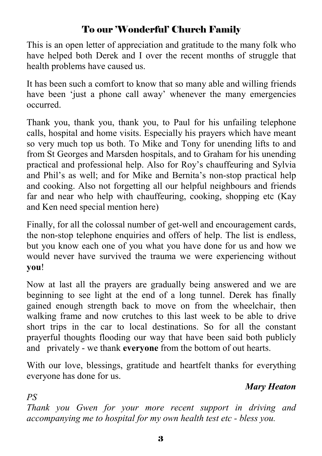# To our 'Wonderful' Church Family

This is an open letter of appreciation and gratitude to the many folk who have helped both Derek and I over the recent months of struggle that health problems have caused us.

It has been such a comfort to know that so many able and willing friends have been 'just a phone call away' whenever the many emergencies occurred.

Thank you, thank you, thank you, to Paul for his unfailing telephone calls, hospital and home visits. Especially his prayers which have meant so very much top us both. To Mike and Tony for unending lifts to and from St Georges and Marsden hospitals, and to Graham for his unending practical and professional help. Also for Roy's chauffeuring and Sylvia and Phil's as well; and for Mike and Bernita's non-stop practical help and cooking. Also not forgetting all our helpful neighbours and friends far and near who help with chauffeuring, cooking, shopping etc (Kay and Ken need special mention here)

Finally, for all the colossal number of get-well and encouragement cards, the non-stop telephone enquiries and offers of help. The list is endless, but you know each one of you what you have done for us and how we would never have survived the trauma we were experiencing without **you**!

Now at last all the prayers are gradually being answered and we are beginning to see light at the end of a long tunnel. Derek has finally gained enough strength back to move on from the wheelchair, then walking frame and now crutches to this last week to be able to drive short trips in the car to local destinations. So for all the constant prayerful thoughts flooding our way that have been said both publicly and privately - we thank **everyone** from the bottom of out hearts.

With our love, blessings, gratitude and heartfelt thanks for everything everyone has done for us.

### *Mary Heaton*

*PS* 

*Thank you Gwen for your more recent support in driving and accompanying me to hospital for my own health test etc - bless you.*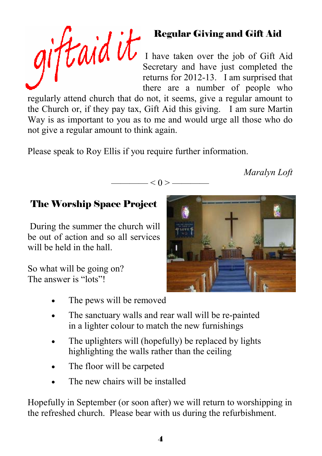

# Regular Giving and Gift Aid

 I have taken over the job of Gift Aid Secretary and have just completed the returns for 2012-13. I am surprised that there are a number of people who

regularly attend church that do not, it seems, give a regular amount to the Church or, if they pay tax, Gift Aid this giving. I am sure Martin Way is as important to you as to me and would urge all those who do not give a regular amount to think again.

 $-$  < 0 >  $-$ 

Please speak to Roy Ellis if you require further information.

*Maralyn Loft*

## The Worship Space Project

 During the summer the church will be out of action and so all services will be held in the hall.

So what will be going on? The answer is "lots"!



- The pews will be removed
- The sanctuary walls and rear wall will be re-painted in a lighter colour to match the new furnishings
- The uplighters will (hopefully) be replaced by lights highlighting the walls rather than the ceiling
- The floor will be carpeted
- The new chairs will be installed

Hopefully in September (or soon after) we will return to worshipping in the refreshed church. Please bear with us during the refurbishment.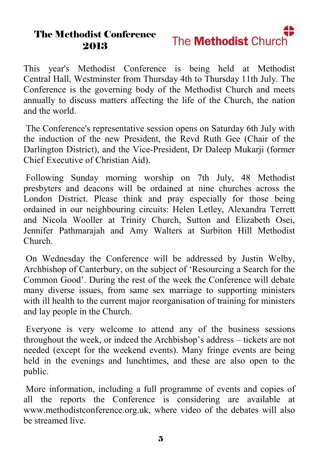# The Methodist Conference 2013



This year's Methodist Conference is being held at Methodist Central Hall, Westminster from Thursday 4th to Thursday 11th July. The Conference is the governing body of the Methodist Church and meets annually to discuss matters affecting the life of the Church, the nation and the world.

 The Conference's representative session opens on Saturday 6th July with the induction of the new President, the Revd Ruth Gee (Chair of the Darlington District), and the Vice-President, Dr Daleep Mukarji (former Chief Executive of Christian Aid).

 Following Sunday morning worship on 7th July, 48 Methodist presbyters and deacons will be ordained at nine churches across the London District. Please think and pray especially for those being ordained in our neighbouring circuits: Helen Letley, Alexandra Terrett and Nicola Wooller at Trinity Church, Sutton and Elizabeth Osei, Jennifer Pathmarajah and Amy Walters at Surbiton Hill Methodist Church.

 On Wednesday the Conference will be addressed by Justin Welby, Archbishop of Canterbury, on the subject of 'Resourcing a Search for the Common Good'. During the rest of the week the Conference will debate many diverse issues, from same sex marriage to supporting ministers with ill health to the current major reorganisation of training for ministers and lay people in the Church.

 Everyone is very welcome to attend any of the business sessions throughout the week, or indeed the Archbishop's address – tickets are not needed (except for the weekend events). Many fringe events are being held in the evenings and lunchtimes, and these are also open to the public.

 More information, including a full programme of events and copies of all the reports the Conference is considering are available at www.methodistconference.org.uk, where video of the debates will also be streamed live.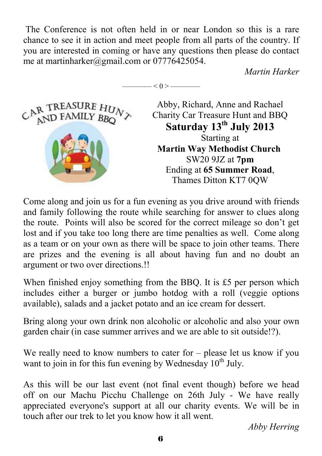The Conference is not often held in or near London so this is a rare chance to see it in action and meet people from all parts of the country. If you are interested in coming or have any questions then please do contact me at martinharker@gmail.com or 07776425054.

 $\leq 0$  >  $\qquad$ 

*Martin Harker* 

$$
\mathsf{C} \xrightarrow{\mathsf{AR} \text{ TREASURE}} \mathsf{H} \mathsf{U} \mathsf{N} \mathsf{P}
$$

Abby, Richard, Anne and Rachael Charity Car Treasure Hunt and BBQ Saturday 13<sup>th</sup> July 2013 Starting at **Martin Way Methodist Church**  SW20 9JZ at **7pm** Ending at **65 Summer Road**, Thames Ditton KT7 0QW

Come along and join us for a fun evening as you drive around with friends and family following the route while searching for answer to clues along the route. Points will also be scored for the correct mileage so don't get lost and if you take too long there are time penalties as well. Come along as a team or on your own as there will be space to join other teams. There are prizes and the evening is all about having fun and no doubt an argument or two over directions.!!

When finished enjoy something from the BBQ. It is £5 per person which includes either a burger or jumbo hotdog with a roll (veggie options available), salads and a jacket potato and an ice cream for dessert.

Bring along your own drink non alcoholic or alcoholic and also your own garden chair (in case summer arrives and we are able to sit outside!?).

We really need to know numbers to cater for – please let us know if you want to join in for this fun evening by Wednesday  $10<sup>th</sup>$  July.

As this will be our last event (not final event though) before we head off on our Machu Picchu Challenge on 26th July - We have really appreciated everyone's support at all our charity events. We will be in touch after our trek to let you know how it all went.

*Abby Herring*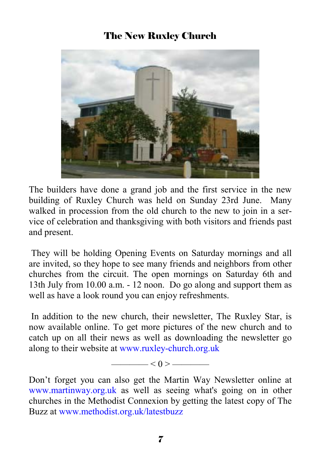# The New Ruxley Church



The builders have done a grand job and the first service in the new building of Ruxley Church was held on Sunday 23rd June. Many walked in procession from the old church to the new to join in a service of celebration and thanksgiving with both visitors and friends past and present.

 They will be holding Opening Events on Saturday mornings and all are invited, so they hope to see many friends and neighbors from other churches from the circuit. The open mornings on Saturday 6th and 13th July from 10.00 a.m. - 12 noon. Do go along and support them as well as have a look round you can enjoy refreshments.

 In addition to the new church, their newsletter, The Ruxley Star, is now available online. To get more pictures of the new church and to catch up on all their news as well as downloading the newsletter go along to their website at www.ruxley-church.org.uk

 $-$  < 0 >  $-$ 

Don't forget you can also get the Martin Way Newsletter online at www.martinway.org.uk as well as seeing what's going on in other churches in the Methodist Connexion by getting the latest copy of The Buzz at www.methodist.org.uk/latestbuzz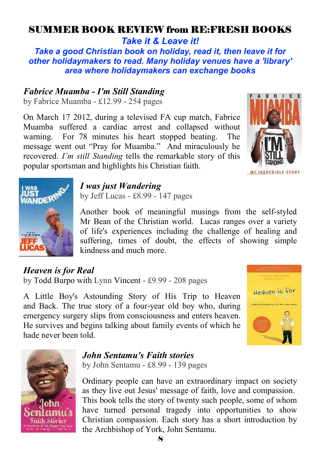# SUMMER BOOK REVIEW from RE:FRESH BOOKS

*Take it & Leave it!*

*Take a good Christian book on holiday, read it, then leave it for other holidaymakers to read. Many holiday venues have a 'library' area where holidaymakers can exchange books*

#### *Fabrice Muamba - I'm Still Standing*

by Fabrice Muamba - £12.99 - 254 pages

On March 17 2012, during a televised FA cup match, Fabrice Muamba suffered a cardiac arrest and collapsed without warning. For 78 minutes his heart stopped beating. The message went out "Pray for Muamba." And miraculously he recovered. *I'm still Standing* tells the remarkable story of this popular sportsman and highlights his Christian faith.





#### *I was just Wandering*

by Jeff Lucas - £8.99 - 147 pages

Another book of meaningful musings from the self-styled Mr Bean of the Christian world. Lucas ranges over a variety of life's experiences including the challenge of healing and suffering, times of doubt, the effects of showing simple kindness and much more.

#### *Heaven is for Real*

by Todd Burpo with Lynn Vincent - £9.99 - 208 pages

A Little Boy's Astounding Story of His Trip to Heaven and Back. The true story of a four-year old boy who, during emergency surgery slips from consciousness and enters heaven. He survives and begins talking about family events of which he hade never been told.





### *John Sentamu's Faith stories*

by John Sentamu - £8.99 - 139 pages

Ordinary people can have an extraordinary impact on society as they live out Jesus' message of faith, love and compassion. This book tells the story of twenty such people, some of whom have turned personal tragedy into opportunities to show Christian compassion. Each story has a short introduction by the Archbishop of York, John Sentamu.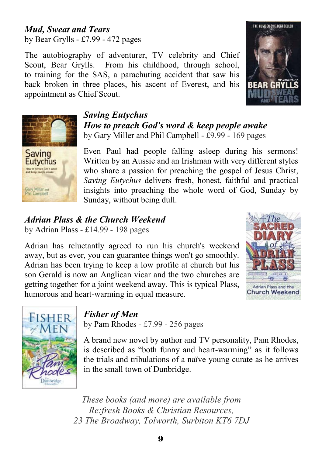#### *Mud, Sweat and Tears* by Bear Grylls - £7.99 - 472 pages

The autobiography of adventurer, TV celebrity and Chief Scout, Bear Grylls. From his childhood, through school, to training for the SAS, a parachuting accident that saw his back broken in three places, his ascent of Everest, and his appointment as Chief Scout.





#### *Saving Eutychus*

*How to preach God's word & keep people awake* by Gary Miller and Phil Campbell - £9.99 - 169 pages

Even Paul had people falling asleep during his sermons! Written by an Aussie and an Irishman with very different styles who share a passion for preaching the gospel of Jesus Christ, *Saving Eutychus* delivers fresh, honest, faithful and practical insights into preaching the whole word of God, Sunday by Sunday, without being dull.

#### *Adrian Plass & the Church Weekend* by Adrian Plass - £14.99 - 198 pages

Adrian has reluctantly agreed to run his church's weekend away, but as ever, you can guarantee things won't go smoothly. Adrian has been trying to keep a low profile at church but his son Gerald is now an Anglican vicar and the two churches are getting together for a joint weekend away. This is typical Plass, humorous and heart-warming in equal measure.





# *Fisher of Men*

by Pam Rhodes - £7.99 - 256 pages

A brand new novel by author and TV personality, Pam Rhodes, is described as "both funny and heart-warming" as it follows the trials and tribulations of a naïve young curate as he arrives in the small town of Dunbridge.

*These books (and more) are available from Re:fresh Books & Christian Resources, 23 The Broadway, Tolworth, Surbiton KT6 7DJ*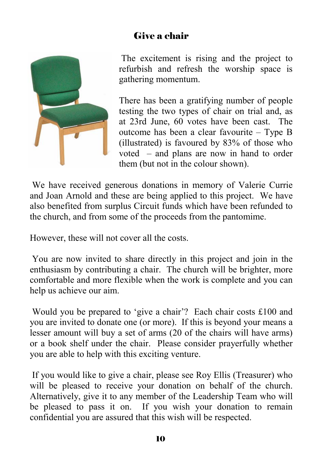# Give a chair



 The excitement is rising and the project to refurbish and refresh the worship space is gathering momentum.

There has been a gratifying number of people testing the two types of chair on trial and, as at 23rd June, 60 votes have been cast. The outcome has been a clear favourite – Type B (illustrated) is favoured by 83% of those who voted – and plans are now in hand to order them (but not in the colour shown).

 We have received generous donations in memory of Valerie Currie and Joan Arnold and these are being applied to this project. We have also benefited from surplus Circuit funds which have been refunded to the church, and from some of the proceeds from the pantomime.

However, these will not cover all the costs.

 You are now invited to share directly in this project and join in the enthusiasm by contributing a chair. The church will be brighter, more comfortable and more flexible when the work is complete and you can help us achieve our aim.

 Would you be prepared to 'give a chair'? Each chair costs £100 and you are invited to donate one (or more). If this is beyond your means a lesser amount will buy a set of arms (20 of the chairs will have arms) or a book shelf under the chair. Please consider prayerfully whether you are able to help with this exciting venture.

 If you would like to give a chair, please see Roy Ellis (Treasurer) who will be pleased to receive your donation on behalf of the church. Alternatively, give it to any member of the Leadership Team who will be pleased to pass it on. If you wish your donation to remain confidential you are assured that this wish will be respected.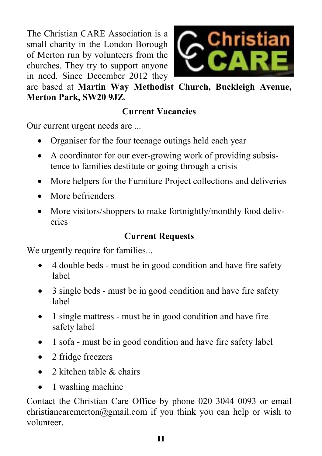The Christian CARE Association is a small charity in the London Borough of Merton run by volunteers from the churches. They try to support anyone in need. Since December 2012 they



are based at **Martin Way Methodist Church, Buckleigh Avenue, Merton Park, SW20 9JZ**.

# **Current Vacancies**

Our current urgent needs are ...

- Organiser for the four teenage outings held each year
- A coordinator for our ever-growing work of providing subsistence to families destitute or going through a crisis
- More helpers for the Furniture Project collections and deliveries
- More befrienders
- More visitors/shoppers to make fortnightly/monthly food deliveries

### **Current Requests**

We urgently require for families...

- 4 double beds must be in good condition and have fire safety label
- 3 single beds must be in good condition and have fire safety label
- 1 single mattress must be in good condition and have fire safety label
- 1 sofa must be in good condition and have fire safety label
- 2 fridge freezers
- 2 kitchen table & chairs
- 1 washing machine

Contact the Christian Care Office by phone 020 3044 0093 or email christiancaremerton@gmail.com if you think you can help or wish to volunteer.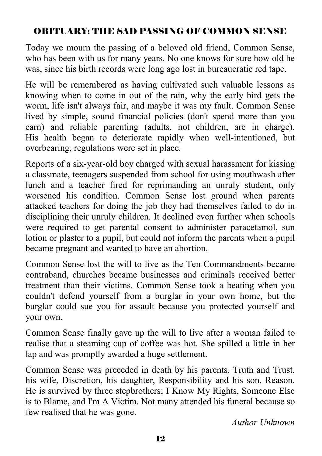#### OBITUARY: THE SAD PASSING OF COMMON SENSE

Today we mourn the passing of a beloved old friend, Common Sense, who has been with us for many years. No one knows for sure how old he was, since his birth records were long ago lost in bureaucratic red tape.

He will be remembered as having cultivated such valuable lessons as knowing when to come in out of the rain, why the early bird gets the worm, life isn't always fair, and maybe it was my fault. Common Sense lived by simple, sound financial policies (don't spend more than you earn) and reliable parenting (adults, not children, are in charge). His health began to deteriorate rapidly when well-intentioned, but overbearing, regulations were set in place.

Reports of a six-year-old boy charged with sexual harassment for kissing a classmate, teenagers suspended from school for using mouthwash after lunch and a teacher fired for reprimanding an unruly student, only worsened his condition. Common Sense lost ground when parents attacked teachers for doing the job they had themselves failed to do in disciplining their unruly children. It declined even further when schools were required to get parental consent to administer paracetamol, sun lotion or plaster to a pupil, but could not inform the parents when a pupil became pregnant and wanted to have an abortion.

Common Sense lost the will to live as the Ten Commandments became contraband, churches became businesses and criminals received better treatment than their victims. Common Sense took a beating when you couldn't defend yourself from a burglar in your own home, but the burglar could sue you for assault because you protected yourself and your own.

Common Sense finally gave up the will to live after a woman failed to realise that a steaming cup of coffee was hot. She spilled a little in her lap and was promptly awarded a huge settlement.

Common Sense was preceded in death by his parents, Truth and Trust, his wife, Discretion, his daughter, Responsibility and his son, Reason. He is survived by three stepbrothers; I Know My Rights, Someone Else is to Blame, and I'm A Victim. Not many attended his funeral because so few realised that he was gone.

*Author Unknown*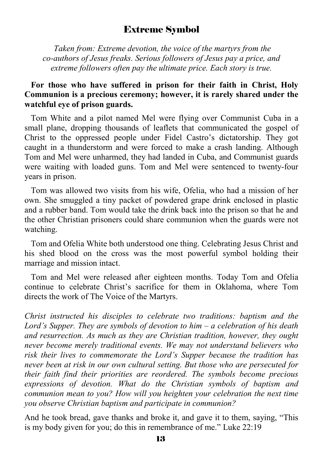#### Extreme Symbol

 *Taken from: Extreme devotion, the voice of the martyrs from the co-authors of Jesus freaks. Serious followers of Jesus pay a price, and extreme followers often pay the ultimate price. Each story is true.* 

#### **For those who have suffered in prison for their faith in Christ, Holy Communion is a precious ceremony; however, it is rarely shared under the watchful eye of prison guards.**

Tom White and a pilot named Mel were flying over Communist Cuba in a small plane, dropping thousands of leaflets that communicated the gospel of Christ to the oppressed people under Fidel Castro's dictatorship. They got caught in a thunderstorm and were forced to make a crash landing. Although Tom and Mel were unharmed, they had landed in Cuba, and Communist guards were waiting with loaded guns. Tom and Mel were sentenced to twenty-four years in prison.

 Tom was allowed two visits from his wife, Ofelia, who had a mission of her own. She smuggled a tiny packet of powdered grape drink enclosed in plastic and a rubber band. Tom would take the drink back into the prison so that he and the other Christian prisoners could share communion when the guards were not watching.

 Tom and Ofelia White both understood one thing. Celebrating Jesus Christ and his shed blood on the cross was the most powerful symbol holding their marriage and mission intact.

 Tom and Mel were released after eighteen months. Today Tom and Ofelia continue to celebrate Christ's sacrifice for them in Oklahoma, where Tom directs the work of The Voice of the Martyrs.

*Christ instructed his disciples to celebrate two traditions: baptism and the Lord's Supper. They are symbols of devotion to him – a celebration of his death and resurrection. As much as they are Christian tradition, however, they ought never become merely traditional events. We may not understand believers who risk their lives to commemorate the Lord's Supper because the tradition has never been at risk in our own cultural setting. But those who are persecuted for their faith find their priorities are reordered. The symbols become precious expressions of devotion. What do the Christian symbols of baptism and communion mean to you? How will you heighten your celebration the next time you observe Christian baptism and participate in communion?* 

And he took bread, gave thanks and broke it, and gave it to them, saying, "This is my body given for you; do this in remembrance of me." Luke 22:19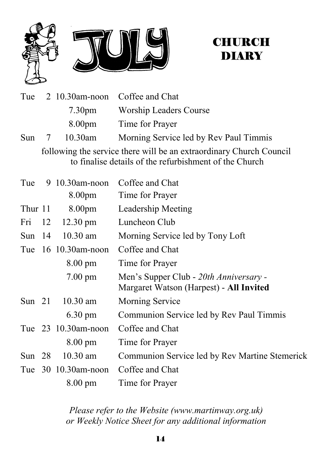

|                                                                     |                    | Tue 2 10.30am-noon Coffee and Chat     |  |  |  |
|---------------------------------------------------------------------|--------------------|----------------------------------------|--|--|--|
|                                                                     | 7.30 <sub>pm</sub> | <b>Worship Leaders Course</b>          |  |  |  |
|                                                                     | 8.00 <sub>pm</sub> | Time for Prayer                        |  |  |  |
|                                                                     | Sun 7 10.30am      | Morning Service led by Rev Paul Timmis |  |  |  |
| following the service there will be an extraordinary Church Council |                    |                                        |  |  |  |
| to finalise details of the refurbishment of the Church              |                    |                                        |  |  |  |

**CHURCH DIARY** 

| Tue      |    | $9\,10.30$ am-noon  | Coffee and Chat                                |
|----------|----|---------------------|------------------------------------------------|
|          |    | 8.00pm              | Time for Prayer                                |
| Thur 11  |    | 8.00 <sub>pm</sub>  | Leadership Meeting                             |
| Fri      | 12 | $12.30 \text{ pm}$  | Luncheon Club                                  |
| Sun $14$ |    | $10.30$ am          | Morning Service led by Tony Loft               |
|          |    | Tue 16 10.30am-noon | Coffee and Chat                                |
|          |    | $8.00 \text{ pm}$   | Time for Prayer                                |
|          |    | $7.00 \text{ pm}$   | Men's Supper Club - 20th Anniversary -         |
|          |    |                     | Margaret Watson (Harpest) - All Invited        |
| Sun $21$ |    | $10.30$ am          | <b>Morning Service</b>                         |
|          |    | $6.30 \text{ pm}$   | Communion Service led by Rev Paul Timmis       |
|          |    | Tue 23 10.30am-noon | Coffee and Chat                                |
|          |    | $8.00 \text{ pm}$   | Time for Prayer                                |
| Sun $28$ |    | $10.30$ am          | Communion Service led by Rev Martine Stemerick |
| Tue      |    | 30 10.30am-noon     | Coffee and Chat                                |
|          |    | $8.00 \text{ pm}$   | Time for Prayer                                |

*Please refer to the Website (www.martinway.org.uk) or Weekly Notice Sheet for any additional information*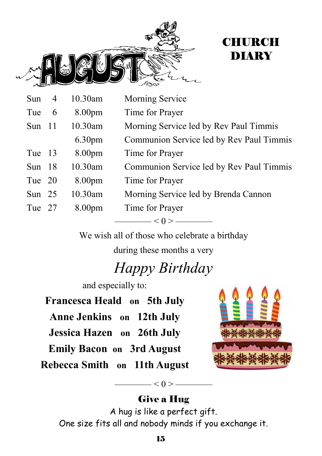



| Sun      | 4 | 10.30am            | Morning Service                          |
|----------|---|--------------------|------------------------------------------|
| Tue      | 6 | 8.00 <sub>pm</sub> | Time for Prayer                          |
| Sun $11$ |   | $10.30$ am         | Morning Service led by Rev Paul Timmis   |
|          |   | 6.30 <sub>pm</sub> | Communion Service led by Rev Paul Timmis |
| Tue 13   |   | 8.00 <sub>pm</sub> | Time for Prayer                          |
| Sun $18$ |   | $10.30$ am         | Communion Service led by Rev Paul Timmis |
| Tue 20   |   | 8.00 <sub>pm</sub> | Time for Prayer                          |
| Sun $25$ |   | 10.30am            | Morning Service led by Brenda Cannon     |
| Tue 27   |   | 8.00 <sub>pm</sub> | Time for Prayer                          |
|          |   |                    |                                          |

We wish all of those who celebrate a birthday during these months a very

# *Happy Birthday*

and especially to:

**Francesca Heald on 5th July Anne Jenkins on 12th July Jessica Hazen on 26th July Emily Bacon on 3rd August Rebecca Smith on 11th August** 



#### Give a Hug

 $- < 0 > -$ 

A hug is like a perfect gift. One size fits all and nobody minds if you exchange it.